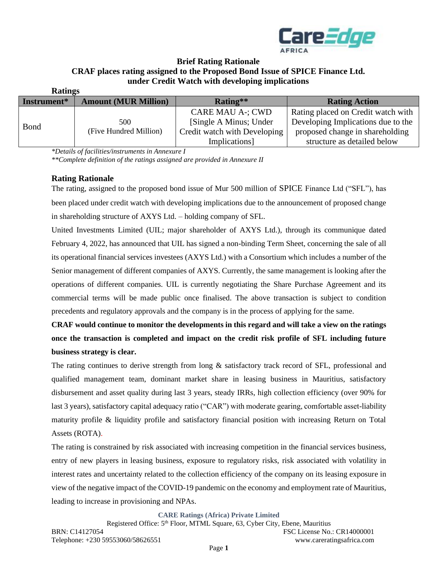

#### **Brief Rating Rationale CRAF places rating assigned to the Proposed Bond Issue of SPICE Finance Ltd. under Credit Watch with developing implications Ratings**

| RAULLES     |                             |                              |                                    |
|-------------|-----------------------------|------------------------------|------------------------------------|
| Instrument* | <b>Amount (MUR Million)</b> | Rating**                     | <b>Rating Action</b>               |
| Bond        |                             | <b>CARE MAU A-; CWD</b>      | Rating placed on Credit watch with |
|             | 500                         | [Single A Minus; Under       | Developing Implications due to the |
|             | (Five Hundred Million)      | Credit watch with Developing | proposed change in shareholding    |
|             |                             | Implications]                | structure as detailed below        |

*\*Details of facilities/instruments in Annexure I*

*\*\*Complete definition of the ratings assigned are provided in Annexure II*

### **Rating Rationale**

The rating, assigned to the proposed bond issue of Mur 500 million of SPICE Finance Ltd ("SFL"), has been placed under credit watch with developing implications due to the announcement of proposed change in shareholding structure of AXYS Ltd. – holding company of SFL.

United Investments Limited (UIL; major shareholder of AXYS Ltd.), through its communique dated February 4, 2022, has announced that UIL has signed a non-binding Term Sheet, concerning the sale of all its operational financial services investees (AXYS Ltd.) with a Consortium which includes a number of the Senior management of different companies of AXYS. Currently, the same management is looking after the operations of different companies. UIL is currently negotiating the Share Purchase Agreement and its commercial terms will be made public once finalised. The above transaction is subject to condition precedents and regulatory approvals and the company is in the process of applying for the same.

**CRAF would continue to monitor the developments in this regard and will take a view on the ratings once the transaction is completed and impact on the credit risk profile of SFL including future business strategy is clear.**

The rating continues to derive strength from long & satisfactory track record of SFL, professional and qualified management team, dominant market share in leasing business in Mauritius, satisfactory disbursement and asset quality during last 3 years, steady IRRs, high collection efficiency (over 90% for last 3 years), satisfactory capital adequacy ratio ("CAR") with moderate gearing, comfortable asset-liability maturity profile & liquidity profile and satisfactory financial position with increasing Return on Total Assets (ROTA).

The rating is constrained by risk associated with increasing competition in the financial services business, entry of new players in leasing business, exposure to regulatory risks, risk associated with volatility in interest rates and uncertainty related to the collection efficiency of the company on its leasing exposure in view of the negative impact of the COVID-19 pandemic on the economy and employment rate of Mauritius, leading to increase in provisioning and NPAs.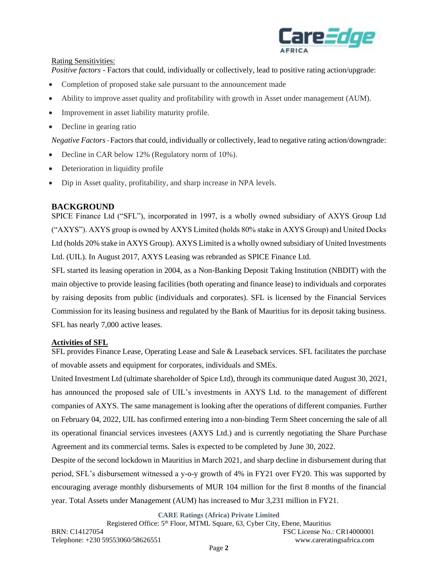

### Rating Sensitivities:

*Positive factors* - Factors that could, individually or collectively, lead to positive rating action/upgrade:

- Completion of proposed stake sale pursuant to the announcement made
- Ability to improve asset quality and profitability with growth in Asset under management (AUM).
- Improvement in asset liability maturity profile.
- Decline in gearing ratio

*Negative Factors-* Factors that could, individually or collectively, lead to negative rating action/downgrade:

- Decline in CAR below 12% (Regulatory norm of 10%).
- Deterioration in liquidity profile
- Dip in Asset quality, profitability, and sharp increase in NPA levels.

# **BACKGROUND**

SPICE Finance Ltd ("SFL"), incorporated in 1997, is a wholly owned subsidiary of AXYS Group Ltd ("AXYS"). AXYS group is owned by AXYS Limited (holds 80% stake in AXYS Group) and United Docks Ltd (holds 20% stake in AXYS Group). AXYS Limited is a wholly owned subsidiary of United Investments Ltd. (UIL). In August 2017, AXYS Leasing was rebranded as SPICE Finance Ltd.

SFL started its leasing operation in 2004, as a Non-Banking Deposit Taking Institution (NBDIT) with the main objective to provide leasing facilities (both operating and finance lease) to individuals and corporates by raising deposits from public (individuals and corporates). SFL is licensed by the Financial Services Commission for its leasing business and regulated by the Bank of Mauritius for its deposit taking business. SFL has nearly 7,000 active leases.

# **Activities of SFL**

SFL provides Finance Lease, Operating Lease and Sale & Leaseback services. SFL facilitates the purchase of movable assets and equipment for corporates, individuals and SMEs.

United Investment Ltd (ultimate shareholder of Spice Ltd), through its communique dated August 30, 2021, has announced the proposed sale of UIL's investments in AXYS Ltd. to the management of different companies of AXYS. The same management is looking after the operations of different companies. Further on February 04, 2022, UIL has confirmed entering into a non-binding Term Sheet concerning the sale of all its operational financial services investees (AXYS Ltd.) and is currently negotiating the Share Purchase Agreement and its commercial terms. Sales is expected to be completed by June 30, 2022.

Despite of the second lockdown in Mauritius in March 2021, and sharp decline in disbursement during that period, SFL's disbursement witnessed a y-o-y growth of 4% in FY21 over FY20. This was supported by encouraging average monthly disbursements of MUR 104 million for the first 8 months of the financial year. Total Assets under Management (AUM) has increased to Mur 3,231 million in FY21.

**CARE Ratings (Africa) Private Limited**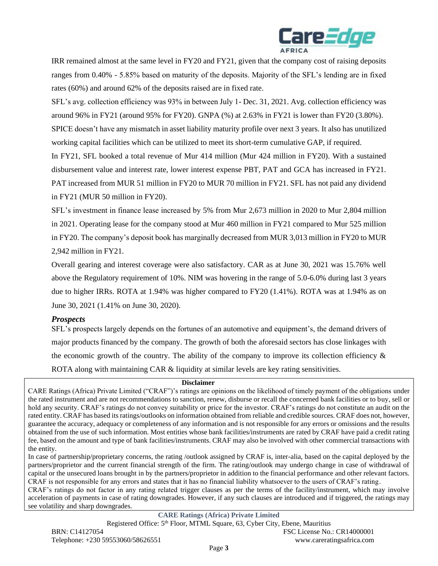

IRR remained almost at the same level in FY20 and FY21, given that the company cost of raising deposits ranges from 0.40% - 5.85% based on maturity of the deposits. Majority of the SFL's lending are in fixed rates (60%) and around 62% of the deposits raised are in fixed rate.

SFL's avg. collection efficiency was 93% in between July 1- Dec. 31, 2021. Avg. collection efficiency was around 96% in FY21 (around 95% for FY20). GNPA (%) at 2.63% in FY21 is lower than FY20 (3.80%). SPICE doesn't have any mismatch in asset liability maturity profile over next 3 years. It also has unutilized

working capital facilities which can be utilized to meet its short-term cumulative GAP, if required.

In FY21, SFL booked a total revenue of Mur 414 million (Mur 424 million in FY20). With a sustained disbursement value and interest rate, lower interest expense PBT, PAT and GCA has increased in FY21. PAT increased from MUR 51 million in FY20 to MUR 70 million in FY21. SFL has not paid any dividend in FY21 (MUR 50 million in FY20).

SFL's investment in finance lease increased by 5% from Mur 2,673 million in 2020 to Mur 2,804 million in 2021. Operating lease for the company stood at Mur 460 million in FY21 compared to Mur 525 million in FY20. The company's deposit book has marginally decreased from MUR 3,013 million in FY20 to MUR 2,942 million in FY21.

Overall gearing and interest coverage were also satisfactory. CAR as at June 30, 2021 was 15.76% well above the Regulatory requirement of 10%. NIM was hovering in the range of 5.0-6.0% during last 3 years due to higher IRRs. ROTA at 1.94% was higher compared to FY20 (1.41%). ROTA was at 1.94% as on June 30, 2021 (1.41% on June 30, 2020).

#### *Prospects*

SFL's prospects largely depends on the fortunes of an automotive and equipment's, the demand drivers of major products financed by the company. The growth of both the aforesaid sectors has close linkages with the economic growth of the country. The ability of the company to improve its collection efficiency  $\&$ ROTA along with maintaining CAR & liquidity at similar levels are key rating sensitivities.

#### **Disclaimer**

CARE Ratings (Africa) Private Limited ("CRAF")'s ratings are opinions on the likelihood of timely payment of the obligations under the rated instrument and are not recommendations to sanction, renew, disburse or recall the concerned bank facilities or to buy, sell or hold any security. CRAF's ratings do not convey suitability or price for the investor. CRAF's ratings do not constitute an audit on the rated entity. CRAF has based its ratings/outlooks on information obtained from reliable and credible sources. CRAF does not, however, guarantee the accuracy, adequacy or completeness of any information and is not responsible for any errors or omissions and the results obtained from the use of such information. Most entities whose bank facilities/instruments are rated by CRAF have paid a credit rating fee, based on the amount and type of bank facilities/instruments. CRAF may also be involved with other commercial transactions with the entity.

In case of partnership/proprietary concerns, the rating /outlook assigned by CRAF is, inter-alia, based on the capital deployed by the partners/proprietor and the current financial strength of the firm. The rating/outlook may undergo change in case of withdrawal of capital or the unsecured loans brought in by the partners/proprietor in addition to the financial performance and other relevant factors. CRAF is not responsible for any errors and states that it has no financial liability whatsoever to the users of CRAF's rating.

CRAF's ratings do not factor in any rating related trigger clauses as per the terms of the facility/instrument, which may involve acceleration of payments in case of rating downgrades. However, if any such clauses are introduced and if triggered, the ratings may see volatility and sharp downgrades.

**CARE Ratings (Africa) Private Limited** Registered Office: 5th Floor, MTML Square, 63, Cyber City, Ebene, Mauritius